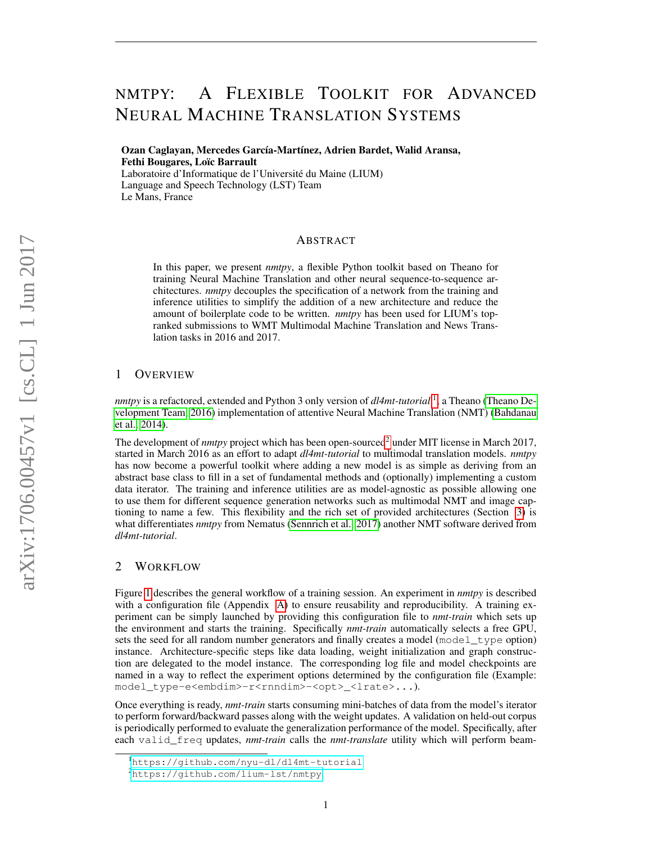# NMTPY: A FLEXIBLE TOOLKIT FOR ADVANCED NEURAL MACHINE TRANSLATION SYSTEMS

Ozan Caglayan, Mercedes García-Martínez, Adrien Bardet, Walid Aransa, Fethi Bougares, Loïc Barrault Laboratoire d'Informatique de l'Université du Maine (LIUM) Language and Speech Technology (LST) Team

Le Mans, France

## ABSTRACT

In this paper, we present *nmtpy*, a flexible Python toolkit based on Theano for training Neural Machine Translation and other neural sequence-to-sequence architectures. *nmtpy* decouples the specification of a network from the training and inference utilities to simplify the addition of a new architecture and reduce the amount of boilerplate code to be written. *nmtpy* has been used for LIUM's topranked submissions to WMT Multimodal Machine Translation and News Translation tasks in 2016 and 2017.

## 1 OVERVIEW

*nmtpy* is a refactored, extended and Python 3 only version of *dl4mt-tutorial* [1](#page-0-0) , a Theano [\(Theano De](#page-7-0)[velopment Team, 2016\)](#page-7-0) implementation of attentive Neural Machine Translation (NMT) [\(Bahdanau](#page-5-0) [et al., 2014\)](#page-5-0).

The development of *nmtpy* project which has been open-sourced<sup>[2](#page-0-1)</sup> under MIT license in March 2017, started in March 2016 as an effort to adapt *dl4mt-tutorial* to multimodal translation models. *nmtpy* has now become a powerful toolkit where adding a new model is as simple as deriving from an abstract base class to fill in a set of fundamental methods and (optionally) implementing a custom data iterator. The training and inference utilities are as model-agnostic as possible allowing one to use them for different sequence generation networks such as multimodal NMT and image captioning to name a few. This flexibility and the rich set of provided architectures (Section [3\)](#page-2-0) is what differentiates *nmtpy* from Nematus [\(Sennrich et al., 2017\)](#page-6-0) another NMT software derived from *dl4mt-tutorial*.

## 2 WORKFLOW

Figure [1](#page-1-0) describes the general workflow of a training session. An experiment in *nmtpy* is described with a configuration file (Appendix [A\)](#page-8-0) to ensure reusability and reproducibility. A training experiment can be simply launched by providing this configuration file to *nmt-train* which sets up the environment and starts the training. Specifically *nmt-train* automatically selects a free GPU, sets the seed for all random number generators and finally creates a model (model type option) instance. Architecture-specific steps like data loading, weight initialization and graph construction are delegated to the model instance. The corresponding log file and model checkpoints are named in a way to reflect the experiment options determined by the configuration file (Example: model\_type-e<embdim>-r<rnndim>-<opt>\_<lrate>...).

Once everything is ready, *nmt-train* starts consuming mini-batches of data from the model's iterator to perform forward/backward passes along with the weight updates. A validation on held-out corpus is periodically performed to evaluate the generalization performance of the model. Specifically, after each valid\_freq updates, *nmt-train* calls the *nmt-translate* utility which will perform beam-

<span id="page-0-0"></span><sup>1</sup><https://github.com/nyu-dl/dl4mt-tutorial>

<span id="page-0-1"></span><sup>2</sup><https://github.com/lium-lst/nmtpy>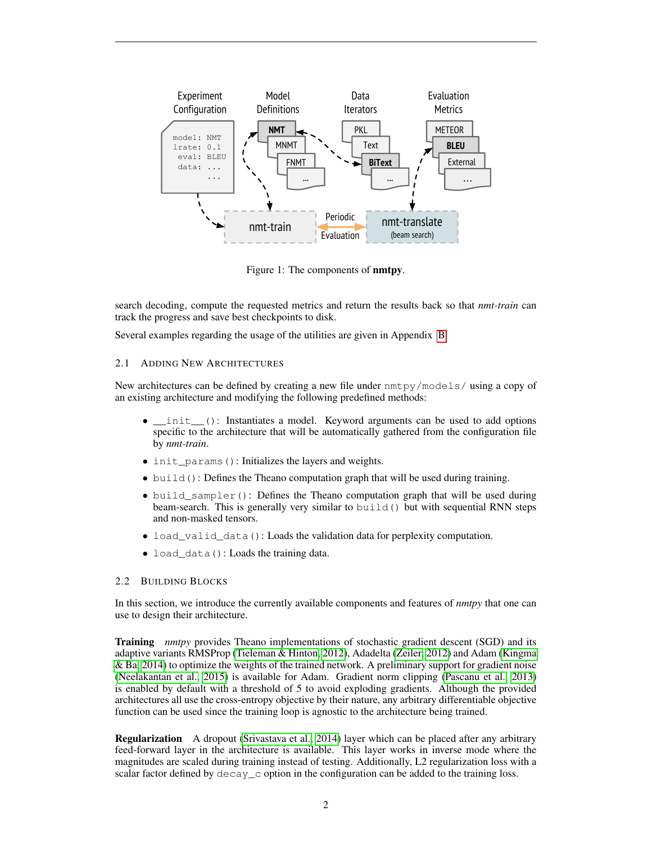

<span id="page-1-0"></span>Figure 1: The components of nmtpy.

search decoding, compute the requested metrics and return the results back so that *nmt-train* can track the progress and save best checkpoints to disk.

Several examples regarding the usage of the utilities are given in Appendix [B.](#page-9-0)

## 2.1 ADDING NEW ARCHITECTURES

New architectures can be defined by creating a new file under nmtpy/models/ using a copy of an existing architecture and modifying the following predefined methods:

- init\_(): Instantiates a model. Keyword arguments can be used to add options specific to the architecture that will be automatically gathered from the configuration file by *nmt-train*.
- init\_params(): Initializes the layers and weights.
- build(): Defines the Theano computation graph that will be used during training.
- build\_sampler(): Defines the Theano computation graph that will be used during beam-search. This is generally very similar to build() but with sequential RNN steps and non-masked tensors.
- load\_valid\_data(): Loads the validation data for perplexity computation.
- load data(): Loads the training data.

### 2.2 BUILDING BLOCKS

In this section, we introduce the currently available components and features of *nmtpy* that one can use to design their architecture.

Training *nmtpy* provides Theano implementations of stochastic gradient descent (SGD) and its adaptive variants RMSProp [\(Tieleman & Hinton, 2012\)](#page-7-1), Adadelta [\(Zeiler, 2012\)](#page-7-2) and Adam [\(Kingma](#page-6-1) [& Ba, 2014\)](#page-6-1) to optimize the weights of the trained network. A preliminary support for gradient noise [\(Neelakantan et al., 2015\)](#page-6-2) is available for Adam. Gradient norm clipping [\(Pascanu et al., 2013\)](#page-6-3) is enabled by default with a threshold of 5 to avoid exploding gradients. Although the provided architectures all use the cross-entropy objective by their nature, any arbitrary differentiable objective function can be used since the training loop is agnostic to the architecture being trained.

Regularization A dropout [\(Srivastava et al., 2014\)](#page-7-3) layer which can be placed after any arbitrary feed-forward layer in the architecture is available. This layer works in inverse mode where the magnitudes are scaled during training instead of testing. Additionally, L2 regularization loss with a scalar factor defined by  $\text{decay}_c$  option in the configuration can be added to the training loss.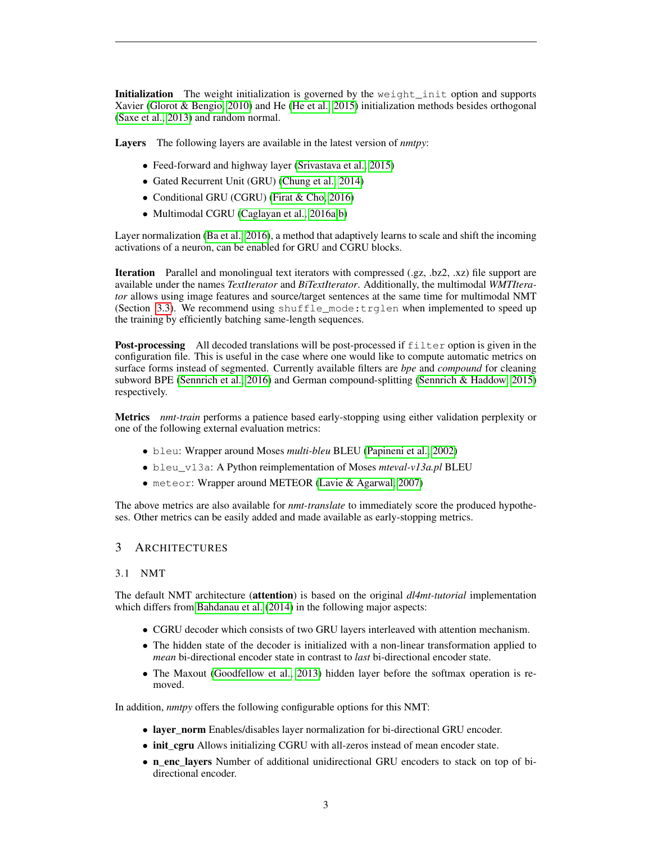Initialization The weight initialization is governed by the weight init option and supports Xavier [\(Glorot & Bengio, 2010\)](#page-6-4) and He [\(He et al., 2015\)](#page-6-5) initialization methods besides orthogonal [\(Saxe et al., 2013\)](#page-6-6) and random normal.

Layers The following layers are available in the latest version of *nmtpy*:

- Feed-forward and highway layer [\(Srivastava et al., 2015\)](#page-7-4)
- Gated Recurrent Unit (GRU) [\(Chung et al., 2014\)](#page-5-1)
- Conditional GRU (CGRU) [\(Firat & Cho, 2016\)](#page-5-2)
- Multimodal CGRU [\(Caglayan et al., 2016a](#page-5-3)[;b\)](#page-5-4)

Layer normalization [\(Ba et al., 2016\)](#page-5-5), a method that adaptively learns to scale and shift the incoming activations of a neuron, can be enabled for GRU and CGRU blocks.

Iteration Parallel and monolingual text iterators with compressed (.gz, .bz2, .xz) file support are available under the names *TextIterator* and *BiTextIterator*. Additionally, the multimodal *WMTIterator* allows using image features and source/target sentences at the same time for multimodal NMT (Section [3.3\)](#page-3-0). We recommend using shuffle\_mode:trglen when implemented to speed up the training by efficiently batching same-length sequences.

**Post-processing** All decoded translations will be post-processed if filter option is given in the configuration file. This is useful in the case where one would like to compute automatic metrics on surface forms instead of segmented. Currently available filters are *bpe* and *compound* for cleaning subword BPE [\(Sennrich et al., 2016\)](#page-6-7) and German compound-splitting [\(Sennrich & Haddow, 2015\)](#page-6-8) respectively.

Metrics *nmt-train* performs a patience based early-stopping using either validation perplexity or one of the following external evaluation metrics:

- bleu: Wrapper around Moses *multi-bleu* BLEU [\(Papineni et al., 2002\)](#page-6-9)
- bleu\_v13a: A Python reimplementation of Moses *mteval-v13a.pl* BLEU
- meteor: Wrapper around METEOR [\(Lavie & Agarwal, 2007\)](#page-6-10)

The above metrics are also available for *nmt-translate* to immediately score the produced hypotheses. Other metrics can be easily added and made available as early-stopping metrics.

### <span id="page-2-0"></span>3 ARCHITECTURES

## 3.1 NMT

The default NMT architecture (attention) is based on the original *dl4mt-tutorial* implementation which differs from [Bahdanau et al.](#page-5-0) [\(2014\)](#page-5-0) in the following major aspects:

- CGRU decoder which consists of two GRU layers interleaved with attention mechanism.
- The hidden state of the decoder is initialized with a non-linear transformation applied to *mean* bi-directional encoder state in contrast to *last* bi-directional encoder state.
- The Maxout [\(Goodfellow et al., 2013\)](#page-6-11) hidden layer before the softmax operation is removed.

In addition, *nmtpy* offers the following configurable options for this NMT:

- layer norm Enables/disables layer normalization for bi-directional GRU encoder.
- init cgru Allows initializing CGRU with all-zeros instead of mean encoder state.
- n\_enc\_layers Number of additional unidirectional GRU encoders to stack on top of bidirectional encoder.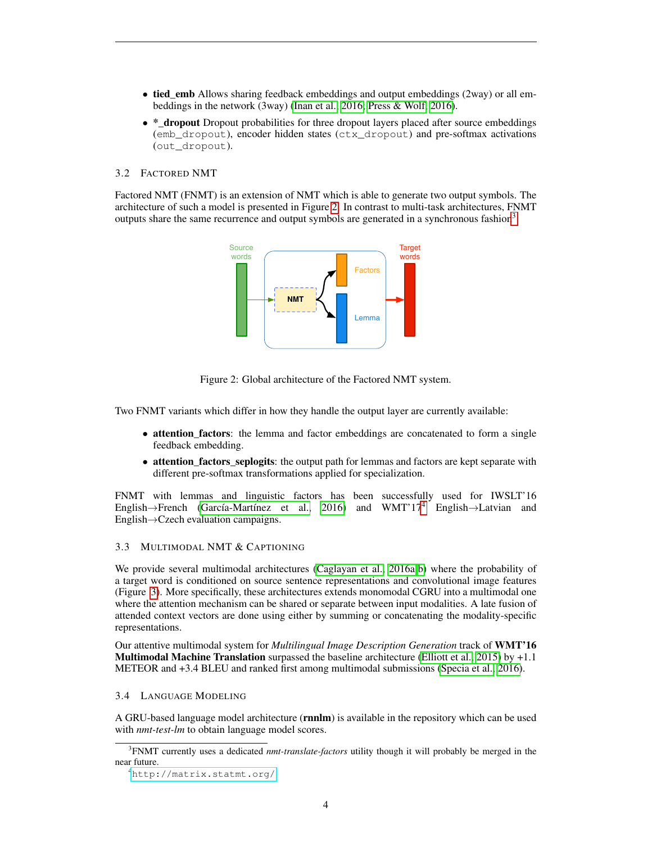- tied\_emb Allows sharing feedback embeddings and output embeddings (2way) or all embeddings in the network (3way) [\(Inan et al., 2016;](#page-6-12) [Press & Wolf, 2016\)](#page-6-13).
- \*\_dropout Dropout probabilities for three dropout layers placed after source embeddings (emb\_dropout), encoder hidden states (ctx\_dropout) and pre-softmax activations (out\_dropout).

## 3.2 FACTORED NMT

Factored NMT (FNMT) is an extension of NMT which is able to generate two output symbols. The architecture of such a model is presented in Figure [2.](#page-3-1) In contrast to multi-task architectures, FNMT outputs share the same recurrence and output symbols are generated in a synchronous fashion<sup>[3](#page-3-2)</sup>.



<span id="page-3-1"></span>Figure 2: Global architecture of the Factored NMT system.

Two FNMT variants which differ in how they handle the output layer are currently available:

- attention\_factors: the lemma and factor embeddings are concatenated to form a single feedback embedding.
- attention\_factors\_seplogits: the output path for lemmas and factors are kept separate with different pre-softmax transformations applied for specialization.

FNMT with lemmas and linguistic factors has been successfully used for IWSLT'16 English→French [\(García-Martínez et al., 2016\)](#page-5-6) and WMT'17<sup>[4](#page-3-3)</sup> English→Latvian and English→Czech evaluation campaigns.

## <span id="page-3-0"></span>3.3 MULTIMODAL NMT & CAPTIONING

We provide several multimodal architectures [\(Caglayan et al., 2016a;](#page-5-3)[b\)](#page-5-4) where the probability of a target word is conditioned on source sentence representations and convolutional image features (Figure [3\)](#page-4-0). More specifically, these architectures extends monomodal CGRU into a multimodal one where the attention mechanism can be shared or separate between input modalities. A late fusion of attended context vectors are done using either by summing or concatenating the modality-specific representations.

Our attentive multimodal system for *Multilingual Image Description Generation* track of WMT'16 **Multimodal Machine Translation** surpassed the baseline architecture [\(Elliott et al., 2015\)](#page-5-7) by  $+1.1$ METEOR and +3.4 BLEU and ranked first among multimodal submissions [\(Specia et al., 2016\)](#page-7-5).

### 3.4 LANGUAGE MODELING

A GRU-based language model architecture (rnnlm) is available in the repository which can be used with *nmt-test-lm* to obtain language model scores.

<span id="page-3-2"></span><sup>3</sup> FNMT currently uses a dedicated *nmt-translate-factors* utility though it will probably be merged in the near future.

<span id="page-3-3"></span><sup>4</sup><http://matrix.statmt.org/>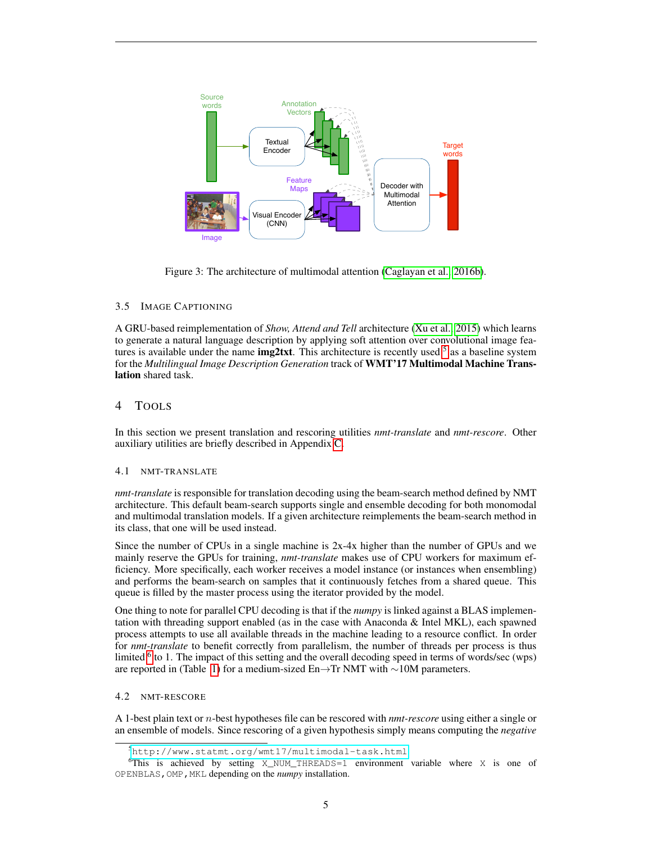

<span id="page-4-0"></span>Figure 3: The architecture of multimodal attention [\(Caglayan et al., 2016b\)](#page-5-4).  $\mathcal{L}$  conditioning vectors; whereas removing the decometer assumes the decometer assumes the decoder assumes the decoder assumes the decoder assumes the decoder assumes the decoder assumes the decoder assumes that  $\mathcal$ 

## 3.5 IMAGE CAPTIONING

A GRU-based reimplementation of Show, Attend and Tell architecture [\(Xu et al., 2015\)](#page-7-6) which learns to generate a natural language description by applying soft attention over convolutional image features is available under the name  $img2txtx$ . This architecture is recently used  $5$  as a baseline system for the Multilingual Image Description Generation track of WMT'17 Multimodal Machine Trans- $\text{task.}$ lation shared task.

#### we find that models that incorporate source language features substantially outperformtargetmonolingual image description models. The best English-language model in proves upon the state-of-the-the-of-the-4 TOOLS

In this section we present translation and rescoring utilities *nmt-translate* and *nmt-rescore*. Other auxiliary utilities are briefly described in Appendix [C.](#page-9-1)

#### that the additional features improve mainly lower-quality sentences, indicating that our best models 4.1 NMT-TRANSLATE successfully combine multiple noisy input modalities.

nmt-translate is responsible for translation decoding using the beam-search method defined by NMT and multimodal translation models. If a given architecture reimplements the beam-search method in its class, that one will be used instead. architecture. This default beam-search supports single and ensemble decoding for both monomodal

Since the number of CPUs in a single machine is 2x-4x higher than the number of GPUs and we mainly reserve the GPUs for training, *nmt-translate* makes use of CPU workers for maximum efficiency. More specifically, each worker receives a model instance (or instances when ensembling) and performs the beam-search on samples that it continuously fetches from a shared queue. This queue is filled by the master process using the iterator provided by the model.

dimensional continuous vector using the learned embedding matrix Weh (Eqn 1). A nonlinear func-One thing to note for parallel CPU decoding is that if the *numpy* is linked against a BLAS implemenone unity to note for plattifier or executing is that if the *nampy* is finited against a DER's imprementation with threading support enabled (as in the case with Anaconda & Intel MKL), each spawned 2 process attempts to use all available threads in the machine leading to a resource conflict. In order for *nmt-translate* to benefit correctly from parallelism, the number of threads per process is thus limited <sup>[6](#page-4-2)</sup> to 1. The impact of this setting and the overall decoding speed in terms of words/sec (wps) are reported in (Table [1\)](#page-5-8) for a medium-sized En→Tr NMT with ∼10M parameters.

## 4.2 NMT-RESCORE

A 1-best plain text or n-best hypotheses file can be rescored with *nmt-rescore* using either a single or an ensemble of models. Since rescoring of a given hypothesis simply means computing the *negative*

<span id="page-4-2"></span><span id="page-4-1"></span><sup>5</sup><http://www.statmt.org/wmt17/multimodal-task.html>

 $6$ This is achieved by setting X\_NUM\_THREADS=1 environment variable where X is one of OPENBLAS,OMP,MKL depending on the *numpy* installation.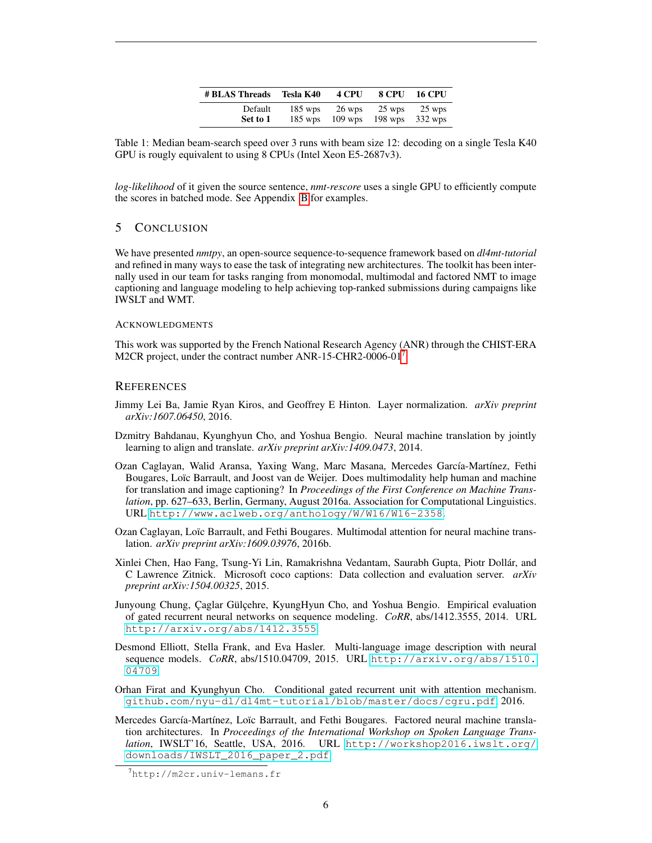| # BLAS Threads | Tesla K40 | 4 CPU     | 8 CPU     | <b>16 CPU</b> |
|----------------|-----------|-----------|-----------|---------------|
| Default        | $185$ wps | 26 wps    | 25 wps    | 25 wps        |
| Set to 1       | $185$ wps | $109$ wps | $198$ wps | 332 wps       |

<span id="page-5-8"></span>Table 1: Median beam-search speed over 3 runs with beam size 12: decoding on a single Tesla K40 GPU is rougly equivalent to using 8 CPUs (Intel Xeon E5-2687v3).

*log-likelihood* of it given the source sentence, *nmt-rescore* uses a single GPU to efficiently compute the scores in batched mode. See Appendix [B](#page-9-0) for examples.

## 5 CONCLUSION

We have presented *nmtpy*, an open-source sequence-to-sequence framework based on *dl4mt-tutorial* and refined in many ways to ease the task of integrating new architectures. The toolkit has been internally used in our team for tasks ranging from monomodal, multimodal and factored NMT to image captioning and language modeling to help achieving top-ranked submissions during campaigns like IWSLT and WMT.

### ACKNOWLEDGMENTS

This work was supported by the French National Research Agency (ANR) through the CHIST-ERA M2CR project, under the contract number ANR-15-CHR2-0006-01<sup>[7](#page-5-9)</sup>.

## **REFERENCES**

- <span id="page-5-5"></span>Jimmy Lei Ba, Jamie Ryan Kiros, and Geoffrey E Hinton. Layer normalization. *arXiv preprint arXiv:1607.06450*, 2016.
- <span id="page-5-0"></span>Dzmitry Bahdanau, Kyunghyun Cho, and Yoshua Bengio. Neural machine translation by jointly learning to align and translate. *arXiv preprint arXiv:1409.0473*, 2014.
- <span id="page-5-3"></span>Ozan Caglayan, Walid Aransa, Yaxing Wang, Marc Masana, Mercedes García-Martínez, Fethi Bougares, Loïc Barrault, and Joost van de Weijer. Does multimodality help human and machine for translation and image captioning? In *Proceedings of the First Conference on Machine Translation*, pp. 627–633, Berlin, Germany, August 2016a. Association for Computational Linguistics. URL <http://www.aclweb.org/anthology/W/W16/W16-2358>.
- <span id="page-5-4"></span>Ozan Caglayan, Loïc Barrault, and Fethi Bougares. Multimodal attention for neural machine translation. *arXiv preprint arXiv:1609.03976*, 2016b.
- <span id="page-5-10"></span>Xinlei Chen, Hao Fang, Tsung-Yi Lin, Ramakrishna Vedantam, Saurabh Gupta, Piotr Dollár, and C Lawrence Zitnick. Microsoft coco captions: Data collection and evaluation server. *arXiv preprint arXiv:1504.00325*, 2015.
- <span id="page-5-1"></span>Junyoung Chung, Çaglar Gülçehre, KyungHyun Cho, and Yoshua Bengio. Empirical evaluation of gated recurrent neural networks on sequence modeling. *CoRR*, abs/1412.3555, 2014. URL <http://arxiv.org/abs/1412.3555>.
- <span id="page-5-7"></span>Desmond Elliott, Stella Frank, and Eva Hasler. Multi-language image description with neural sequence models. *CoRR*, abs/1510.04709, 2015. URL [http://arxiv.org/abs/1510.](http://arxiv.org/abs/1510.04709) [04709](http://arxiv.org/abs/1510.04709).
- <span id="page-5-2"></span>Orhan Firat and Kyunghyun Cho. Conditional gated recurrent unit with attention mechanism. <github.com/nyu-dl/dl4mt-tutorial/blob/master/docs/cgru.pdf>, 2016.
- <span id="page-5-6"></span>Mercedes García-Martínez, Loïc Barrault, and Fethi Bougares. Factored neural machine translation architectures. In *Proceedings of the International Workshop on Spoken Language Translation*, IWSLT'16, Seattle, USA, 2016. URL [http://workshop2016.iwslt.org/](http://workshop2016.iwslt.org/downloads/IWSLT_2016_paper_2.pdf) [downloads/IWSLT\\_2016\\_paper\\_2.pdf](http://workshop2016.iwslt.org/downloads/IWSLT_2016_paper_2.pdf).

<span id="page-5-9"></span><sup>7</sup>http://m2cr.univ-lemans.fr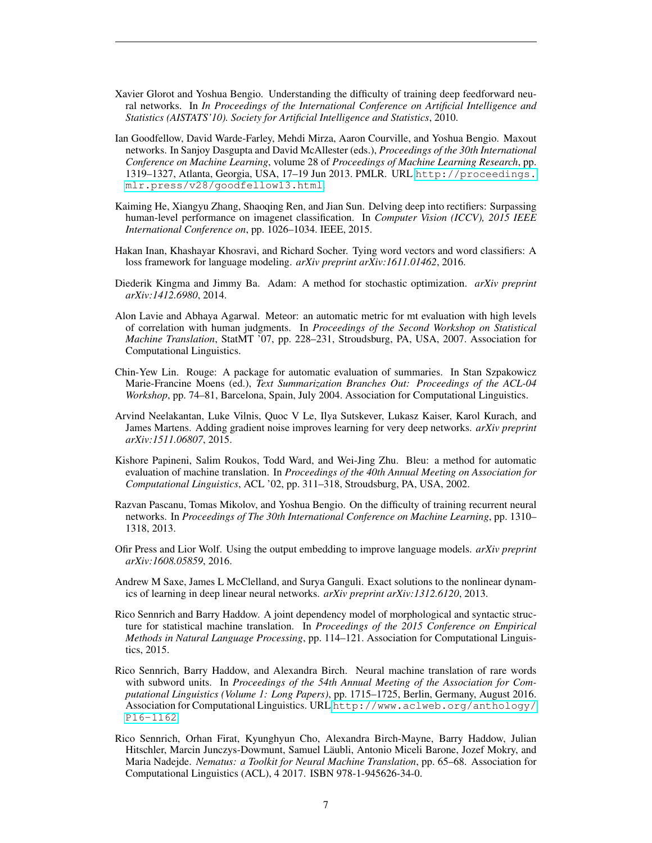- <span id="page-6-4"></span>Xavier Glorot and Yoshua Bengio. Understanding the difficulty of training deep feedforward neural networks. In *In Proceedings of the International Conference on Artificial Intelligence and Statistics (AISTATS'10). Society for Artificial Intelligence and Statistics*, 2010.
- <span id="page-6-11"></span>Ian Goodfellow, David Warde-Farley, Mehdi Mirza, Aaron Courville, and Yoshua Bengio. Maxout networks. In Sanjoy Dasgupta and David McAllester (eds.), *Proceedings of the 30th International Conference on Machine Learning*, volume 28 of *Proceedings of Machine Learning Research*, pp. 1319–1327, Atlanta, Georgia, USA, 17–19 Jun 2013. PMLR. URL [http://proceedings.](http://proceedings.mlr.press/v28/goodfellow13.html) [mlr.press/v28/goodfellow13.html](http://proceedings.mlr.press/v28/goodfellow13.html).
- <span id="page-6-5"></span>Kaiming He, Xiangyu Zhang, Shaoqing Ren, and Jian Sun. Delving deep into rectifiers: Surpassing human-level performance on imagenet classification. In *Computer Vision (ICCV), 2015 IEEE International Conference on*, pp. 1026–1034. IEEE, 2015.
- <span id="page-6-12"></span>Hakan Inan, Khashayar Khosravi, and Richard Socher. Tying word vectors and word classifiers: A loss framework for language modeling. *arXiv preprint arXiv:1611.01462*, 2016.
- <span id="page-6-1"></span>Diederik Kingma and Jimmy Ba. Adam: A method for stochastic optimization. *arXiv preprint arXiv:1412.6980*, 2014.
- <span id="page-6-10"></span>Alon Lavie and Abhaya Agarwal. Meteor: an automatic metric for mt evaluation with high levels of correlation with human judgments. In *Proceedings of the Second Workshop on Statistical Machine Translation*, StatMT '07, pp. 228–231, Stroudsburg, PA, USA, 2007. Association for Computational Linguistics.
- <span id="page-6-14"></span>Chin-Yew Lin. Rouge: A package for automatic evaluation of summaries. In Stan Szpakowicz Marie-Francine Moens (ed.), *Text Summarization Branches Out: Proceedings of the ACL-04 Workshop*, pp. 74–81, Barcelona, Spain, July 2004. Association for Computational Linguistics.
- <span id="page-6-2"></span>Arvind Neelakantan, Luke Vilnis, Quoc V Le, Ilya Sutskever, Lukasz Kaiser, Karol Kurach, and James Martens. Adding gradient noise improves learning for very deep networks. *arXiv preprint arXiv:1511.06807*, 2015.
- <span id="page-6-9"></span>Kishore Papineni, Salim Roukos, Todd Ward, and Wei-Jing Zhu. Bleu: a method for automatic evaluation of machine translation. In *Proceedings of the 40th Annual Meeting on Association for Computational Linguistics*, ACL '02, pp. 311–318, Stroudsburg, PA, USA, 2002.
- <span id="page-6-3"></span>Razvan Pascanu, Tomas Mikolov, and Yoshua Bengio. On the difficulty of training recurrent neural networks. In *Proceedings of The 30th International Conference on Machine Learning*, pp. 1310– 1318, 2013.
- <span id="page-6-13"></span>Ofir Press and Lior Wolf. Using the output embedding to improve language models. *arXiv preprint arXiv:1608.05859*, 2016.
- <span id="page-6-6"></span>Andrew M Saxe, James L McClelland, and Surya Ganguli. Exact solutions to the nonlinear dynamics of learning in deep linear neural networks. *arXiv preprint arXiv:1312.6120*, 2013.
- <span id="page-6-8"></span>Rico Sennrich and Barry Haddow. A joint dependency model of morphological and syntactic structure for statistical machine translation. In *Proceedings of the 2015 Conference on Empirical Methods in Natural Language Processing*, pp. 114–121. Association for Computational Linguistics, 2015.
- <span id="page-6-7"></span>Rico Sennrich, Barry Haddow, and Alexandra Birch. Neural machine translation of rare words with subword units. In *Proceedings of the 54th Annual Meeting of the Association for Computational Linguistics (Volume 1: Long Papers)*, pp. 1715–1725, Berlin, Germany, August 2016. Association for Computational Linguistics. URL [http://www.aclweb.org/anthology/](http://www.aclweb.org/anthology/P16-1162) [P16-1162](http://www.aclweb.org/anthology/P16-1162).
- <span id="page-6-0"></span>Rico Sennrich, Orhan Firat, Kyunghyun Cho, Alexandra Birch-Mayne, Barry Haddow, Julian Hitschler, Marcin Junczys-Dowmunt, Samuel Läubli, Antonio Miceli Barone, Jozef Mokry, and Maria Nadejde. *Nematus: a Toolkit for Neural Machine Translation*, pp. 65–68. Association for Computational Linguistics (ACL), 4 2017. ISBN 978-1-945626-34-0.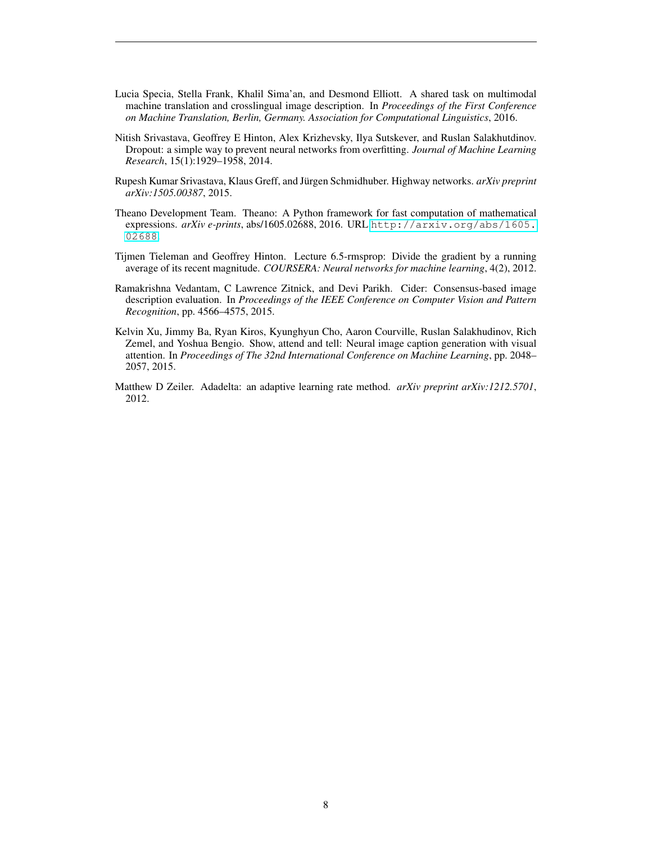- <span id="page-7-5"></span>Lucia Specia, Stella Frank, Khalil Sima'an, and Desmond Elliott. A shared task on multimodal machine translation and crosslingual image description. In *Proceedings of the First Conference on Machine Translation, Berlin, Germany. Association for Computational Linguistics*, 2016.
- <span id="page-7-3"></span>Nitish Srivastava, Geoffrey E Hinton, Alex Krizhevsky, Ilya Sutskever, and Ruslan Salakhutdinov. Dropout: a simple way to prevent neural networks from overfitting. *Journal of Machine Learning Research*, 15(1):1929–1958, 2014.
- <span id="page-7-4"></span>Rupesh Kumar Srivastava, Klaus Greff, and Jürgen Schmidhuber. Highway networks. *arXiv preprint arXiv:1505.00387*, 2015.
- <span id="page-7-0"></span>Theano Development Team. Theano: A Python framework for fast computation of mathematical expressions. *arXiv e-prints*, abs/1605.02688, 2016. URL [http://arxiv.org/abs/1605.](http://arxiv.org/abs/1605.02688) [02688](http://arxiv.org/abs/1605.02688).
- <span id="page-7-1"></span>Tijmen Tieleman and Geoffrey Hinton. Lecture 6.5-rmsprop: Divide the gradient by a running average of its recent magnitude. *COURSERA: Neural networks for machine learning*, 4(2), 2012.
- <span id="page-7-7"></span>Ramakrishna Vedantam, C Lawrence Zitnick, and Devi Parikh. Cider: Consensus-based image description evaluation. In *Proceedings of the IEEE Conference on Computer Vision and Pattern Recognition*, pp. 4566–4575, 2015.
- <span id="page-7-6"></span>Kelvin Xu, Jimmy Ba, Ryan Kiros, Kyunghyun Cho, Aaron Courville, Ruslan Salakhudinov, Rich Zemel, and Yoshua Bengio. Show, attend and tell: Neural image caption generation with visual attention. In *Proceedings of The 32nd International Conference on Machine Learning*, pp. 2048– 2057, 2015.
- <span id="page-7-2"></span>Matthew D Zeiler. Adadelta: an adaptive learning rate method. *arXiv preprint arXiv:1212.5701*, 2012.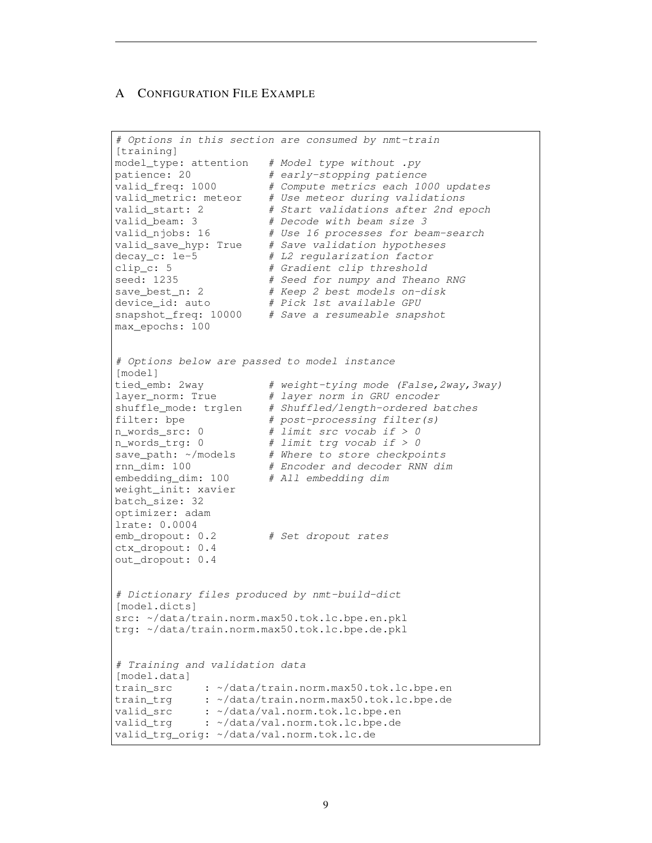## <span id="page-8-0"></span>A CONFIGURATION FILE EXAMPLE

```
# Options in this section are consumed by nmt-train
[training]
model_type: attention # Model type without .py
patience: 20 # early-stopping patiencevalid_freq: 1000   # Compute metrics each 1000 updates
valid_metric: meteor # Use meteor during validations
valid_start: 2 \# Start validations after 2nd epoch<br>valid beam: 3 \# Docode with beam airs 3
valid_beam: 3 # Decode with beam size 3
valid_njobs: 16 # Use 16 processes for beam-search
valid_save_hyp: True # Save validation hypotheses
decay_c: 1e-5 \# L2 regularization factor
clip_c: 5 \# Gradient clip threshold
seed: 1235 # Seed for numpy and Theano RNG
save_best_n: 2 # Keep 2 best models on-disk
device_id: auto # Pick 1st available GPU
snapshot_freq: 10000 # Save a resumeable snapshot
max_epochs: 100
# Options below are passed to model instance
[model]
tied_emb: 2way # weight-tying mode (False, 2way, 3way)<br>layer_norm: True # layer norm in GRU encoder
                      layer_norm: True # layer norm in GRU encoder
shuffle_mode: trglen # Shuffled/length-ordered batches
filter: bpe \# post-processing filter(s)
n_words_src: 0 \# limit src vocab if > 0
n_words_trg: 0 \# limit trg vocab if > 0
save_path: ~/models # Where to store checkpoints
rnn_dim: 100 # Encoder and decoder RNN dim
embedding_dim: 100 # Encoder and decoder<br>embedding_dim: 100 # All embedding dim
weight_init: xavier
batch_size: 32
optimizer: adam
lrate: 0.0004
emb dropout: 0.2 # Set dropout rates
ctx_dropout: 0.4
out dropout: 0.4
# Dictionary files produced by nmt-build-dict
[model.dicts]
src: ~/data/train.norm.max50.tok.lc.bpe.en.pkl
trg: ~/data/train.norm.max50.tok.lc.bpe.de.pkl
# Training and validation data
[model.data]
train_src : ~/data/train.norm.max50.tok.lc.bpe.en
train trg : ~/data/train.norm.max50.tok.lc.bpe.de
valid_src : ~/data/val.norm.tok.lc.bpe.en
valid_trg : /data/val.norm.tok.lc.bpe.de
valid_trg_orig: ~/data/val.norm.tok.lc.de
```